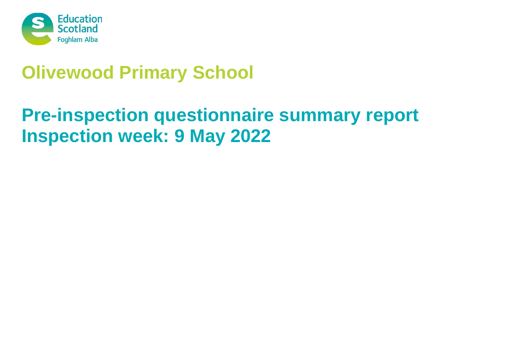

# **Olivewood Primary School**

# **Pre-inspection questionnaire summary report Inspection week: 9 May 2022**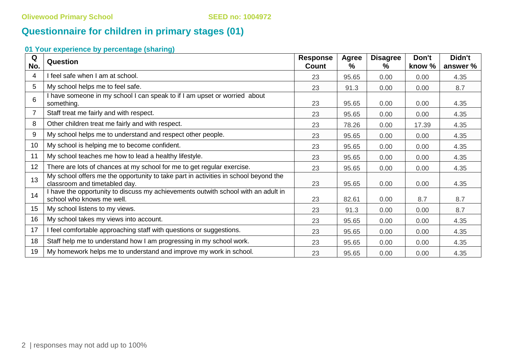# **Questionnaire for children in primary stages (01)**

# **01 Your experience by percentage (sharing)**

| Q<br>No. | <b>Question</b>                                                                                                      | <b>Response</b><br>Count | <b>Agree</b><br>$\%$ | <b>Disagree</b><br>℅ | Don't<br>know % | Didn't<br>answer % |
|----------|----------------------------------------------------------------------------------------------------------------------|--------------------------|----------------------|----------------------|-----------------|--------------------|
| 4        | I feel safe when I am at school.                                                                                     | 23                       | 95.65                | 0.00                 | 0.00            | 4.35               |
| 5        | My school helps me to feel safe.                                                                                     | 23                       | 91.3                 | 0.00                 | 0.00            | 8.7                |
| 6        | I have someone in my school I can speak to if I am upset or worried about<br>something.                              | 23                       | 95.65                | 0.00                 | 0.00            | 4.35               |
|          | Staff treat me fairly and with respect.                                                                              | 23                       | 95.65                | 0.00                 | 0.00            | 4.35               |
| 8        | Other children treat me fairly and with respect.                                                                     | 23                       | 78.26                | 0.00                 | 17.39           | 4.35               |
| 9        | My school helps me to understand and respect other people.                                                           | 23                       | 95.65                | 0.00                 | 0.00            | 4.35               |
| 10       | My school is helping me to become confident.                                                                         | 23                       | 95.65                | 0.00                 | 0.00            | 4.35               |
| 11       | My school teaches me how to lead a healthy lifestyle.                                                                | 23                       | 95.65                | 0.00                 | 0.00            | 4.35               |
| 12       | There are lots of chances at my school for me to get regular exercise.                                               | 23                       | 95.65                | 0.00                 | 0.00            | 4.35               |
| 13       | My school offers me the opportunity to take part in activities in school beyond the<br>classroom and timetabled day. | 23                       | 95.65                | 0.00                 | 0.00            | 4.35               |
| 14       | I have the opportunity to discuss my achievements outwith school with an adult in<br>school who knows me well.       | 23                       | 82.61                | 0.00                 | 8.7             | 8.7                |
| 15       | My school listens to my views.                                                                                       | 23                       | 91.3                 | 0.00                 | 0.00            | 8.7                |
| 16       | My school takes my views into account.                                                                               | 23                       | 95.65                | 0.00                 | 0.00            | 4.35               |
| 17       | I feel comfortable approaching staff with questions or suggestions.                                                  | 23                       | 95.65                | 0.00                 | 0.00            | 4.35               |
| 18       | Staff help me to understand how I am progressing in my school work.                                                  | 23                       | 95.65                | 0.00                 | 0.00            | 4.35               |
| 19       | My homework helps me to understand and improve my work in school.                                                    | 23                       | 95.65                | 0.00                 | 0.00            | 4.35               |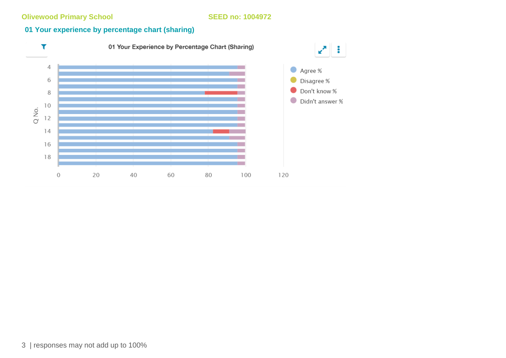# **01 Your experience by percentage chart (sharing)**

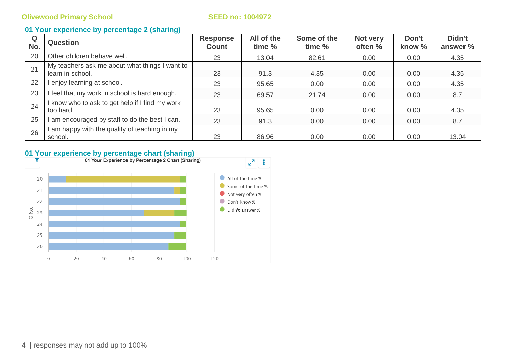### **01 Your experience by percentage 2 (sharing)**

| Q<br>No. | <b>Question</b>                                                    | <b>Response</b><br><b>Count</b> | All of the<br>time % | Some of the<br>time % | Not very<br>often % | Don't<br>know % | Didn't<br>answer % |
|----------|--------------------------------------------------------------------|---------------------------------|----------------------|-----------------------|---------------------|-----------------|--------------------|
| 20       | Other children behave well.                                        | 23                              | 13.04                | 82.61                 | 0.00                | 0.00            | 4.35               |
| 21       | My teachers ask me about what things I want to<br>learn in school. | 23                              | 91.3                 | 4.35                  | 0.00                | 0.00            | 4.35               |
| 22       | I enjoy learning at school.                                        | 23                              | 95.65                | 0.00                  | 0.00                | 0.00            | 4.35               |
| 23       | I feel that my work in school is hard enough.                      | 23                              | 69.57                | 21.74                 | 0.00                | 0.00            | 8.7                |
| 24       | I know who to ask to get help if I find my work<br>too hard.       | 23                              | 95.65                | 0.00                  | 0.00                | 0.00            | 4.35               |
| 25       | am encouraged by staff to do the best I can.                       | 23                              | 91.3                 | 0.00                  | 0.00                | 0.00            | 8.7                |
| 26       | am happy with the quality of teaching in my<br>school.             | 23                              | 86.96                | 0.00                  | 0.00                | 0.00            | 13.04              |

# **01 Your experience by percentage chart (sharing)**<br>**T** 01 Your Experience by Percentage 2 Chart (Sharing)

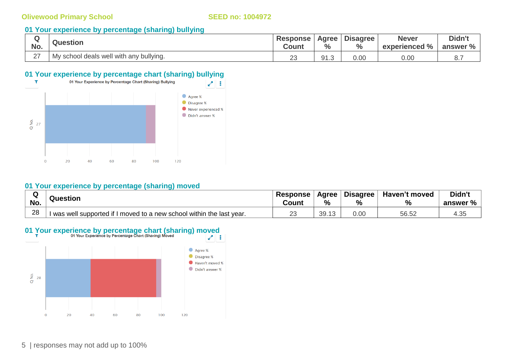### **01 Your experience by percentage (sharing) bullying**

| No.           | <b>Question</b>                         | <b>Response</b><br>Count | <b>Agree</b><br>$\frac{0}{0}$ | <b>Disagree</b><br>$\mathbf{0}$ | <b>Never</b><br>experienced % | Didn't<br>answer % |
|---------------|-----------------------------------------|--------------------------|-------------------------------|---------------------------------|-------------------------------|--------------------|
| $\sim$<br>- 1 | My school deals well with any bullying. | $\Omega$<br>∠J           | 91.3                          | 0.00                            | 0.00                          | $\cup$ .,          |

# **01 Your experience by percentage chart (sharing) bullying**



#### **01 Your experience by percentage (sharing) moved**

| ∽<br><br>No. | Question                                                               | <b>Response</b><br>Count | Agree<br>%          | <b>Disagree</b><br>$\frac{0}{6}$ | Haven't moved<br>$\frac{1}{2}$ | Didn't<br>answer % |
|--------------|------------------------------------------------------------------------|--------------------------|---------------------|----------------------------------|--------------------------------|--------------------|
| 28           | I moved to a new school within the last year.<br>was well supported if | $\cap$<br>∼              | 30<br>$\sim$<br>◡◡. | 0.00                             | 56.52                          | ن.+                |

# **01 Your experience by percentage chart (sharing) moved**

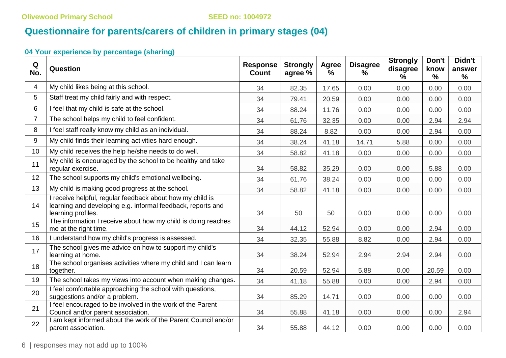# **Questionnaire for parents/carers of children in primary stages (04)**

# **04 Your experience by percentage (sharing)**

| Q<br>No.       | Question                                                                                                                                       | <b>Response</b><br><b>Count</b> | <b>Strongly</b><br>agree % | Agree<br>$\%$ | <b>Disagree</b><br>% | <b>Strongly</b><br>disagree<br>$\%$ | Don't<br>know<br>$\frac{9}{6}$ | Didn't<br>answer<br>% |
|----------------|------------------------------------------------------------------------------------------------------------------------------------------------|---------------------------------|----------------------------|---------------|----------------------|-------------------------------------|--------------------------------|-----------------------|
| $\overline{4}$ | My child likes being at this school.                                                                                                           |                                 | 82.35                      | 17.65         | 0.00                 | 0.00                                | 0.00                           | 0.00                  |
| 5              | Staff treat my child fairly and with respect.                                                                                                  | 34                              | 79.41                      | 20.59         | 0.00                 | 0.00                                | 0.00                           | 0.00                  |
| 6              | I feel that my child is safe at the school.                                                                                                    | 34                              | 88.24                      | 11.76         | 0.00                 | 0.00                                | 0.00                           | 0.00                  |
| $\overline{7}$ | The school helps my child to feel confident.                                                                                                   | 34                              | 61.76                      | 32.35         | 0.00                 | 0.00                                | 2.94                           | 2.94                  |
| 8              | I feel staff really know my child as an individual.                                                                                            | 34                              | 88.24                      | 8.82          | 0.00                 | 0.00                                | 2.94                           | 0.00                  |
| 9              | My child finds their learning activities hard enough.                                                                                          | 34                              | 38.24                      | 41.18         | 14.71                | 5.88                                | 0.00                           | 0.00                  |
| 10             | My child receives the help he/she needs to do well.                                                                                            | 34                              | 58.82                      | 41.18         | 0.00                 | 0.00                                | 0.00                           | 0.00                  |
| 11             | My child is encouraged by the school to be healthy and take<br>regular exercise.                                                               | 34                              | 58.82                      | 35.29         | 0.00                 | 0.00                                | 5.88                           | 0.00                  |
| 12             | The school supports my child's emotional wellbeing.                                                                                            | 34                              | 61.76                      | 38.24         | 0.00                 | 0.00                                | 0.00                           | 0.00                  |
| 13             | My child is making good progress at the school.                                                                                                | 34                              | 58.82                      | 41.18         | 0.00                 | 0.00                                | 0.00                           | 0.00                  |
| 14             | I receive helpful, regular feedback about how my child is<br>learning and developing e.g. informal feedback, reports and<br>learning profiles. | 34                              | 50                         | 50            | 0.00                 | 0.00                                | 0.00                           | 0.00                  |
| 15             | The information I receive about how my child is doing reaches<br>me at the right time.                                                         | 34                              | 44.12                      | 52.94         | 0.00                 | 0.00                                | 2.94                           | 0.00                  |
| 16             | I understand how my child's progress is assessed.                                                                                              | 34                              | 32.35                      | 55.88         | 8.82                 | 0.00                                | 2.94                           | 0.00                  |
| 17             | The school gives me advice on how to support my child's<br>learning at home.                                                                   | 34                              | 38.24                      | 52.94         | 2.94                 | 2.94                                | 2.94                           | 0.00                  |
| 18             | The school organises activities where my child and I can learn<br>together.                                                                    | 34                              | 20.59                      | 52.94         | 5.88                 | 0.00                                | 20.59                          | 0.00                  |
| 19             | The school takes my views into account when making changes.                                                                                    | 34                              | 41.18                      | 55.88         | 0.00                 | 0.00                                | 2.94                           | 0.00                  |
| 20             | I feel comfortable approaching the school with questions,<br>suggestions and/or a problem.                                                     | 34                              | 85.29                      | 14.71         | 0.00                 | 0.00                                | 0.00                           | 0.00                  |
| 21             | I feel encouraged to be involved in the work of the Parent<br>Council and/or parent association.                                               | 34                              | 55.88                      | 41.18         | 0.00                 | 0.00                                | 0.00                           | 2.94                  |
| 22             | I am kept informed about the work of the Parent Council and/or<br>parent association.                                                          | 34                              | 55.88                      | 44.12         | 0.00                 | 0.00                                | 0.00                           | 0.00                  |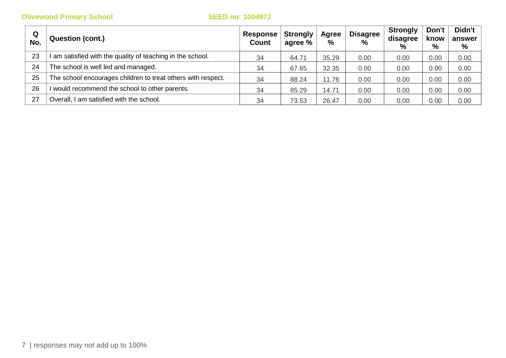| Q<br>No. | <b>Question (cont.)</b>                                      | <b>Response</b><br><b>Count</b> | <b>Strongly</b><br>agree % | Agree<br>$\%$ | <b>Disagree</b><br>$\%$ | <b>Strongly</b><br>disagree<br>$\%$ | Don't<br>know<br>% | Didn't<br>answer<br>% |
|----------|--------------------------------------------------------------|---------------------------------|----------------------------|---------------|-------------------------|-------------------------------------|--------------------|-----------------------|
| 23       | am satisfied with the quality of teaching in the school.     | 34                              | 64.71                      | 35.29         | 0.00                    | 0.00                                | 0.00               | 0.00                  |
| 24       | The school is well led and managed.                          | 34                              | 67.65                      | 32.35         | 0.00                    | 0.00                                | 0.00               | 0.00                  |
| 25       | The school encourages children to treat others with respect. | 34                              | 88.24                      | 11.76         | 0.00                    | 0.00                                | 0.00               | 0.00                  |
| 26       | would recommend the school to other parents.                 | 34                              | 85.29                      | 14.71         | 0.00                    | 0.00                                | 0.00               | 0.00                  |
| 27       | Overall, I am satisfied with the school.                     | 34                              | 73.53                      | 26.47         | 0.00                    | 0.00                                | 0.00               | 0.00                  |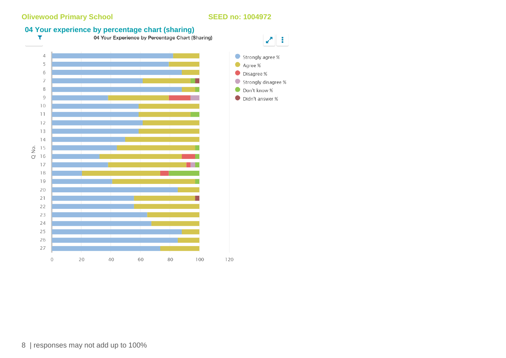# **04 Your experience by percentage chart (sharing)**<br>**1** 04 Your Experience by Percentage Chart (Sharing)



Strongly agree %

Strongly disagree %

Agree %

Disagree %

Don't know %

Didn't answer %

8 | responses may not add up to 100%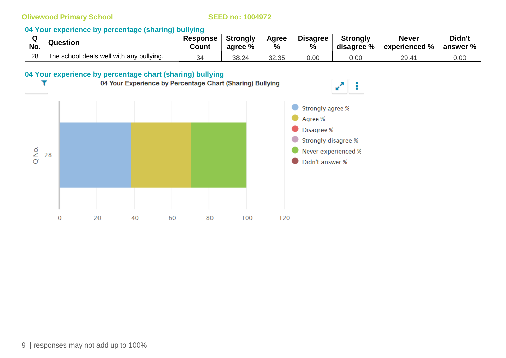# **04 Your experience by percentage (sharing) bullying**

| No. | <b>Question</b>                          | <b>Response</b><br>Count | <b>Strongly</b><br>agree % | Agree<br>% | <b>Disagree</b><br>$\%$ | <b>Strongly</b><br>disagree % | <b>Never</b><br>experienced % | Didn't<br>answer % |
|-----|------------------------------------------|--------------------------|----------------------------|------------|-------------------------|-------------------------------|-------------------------------|--------------------|
| 28  | The school deals well with any bullying. | 34                       | 38.24                      | 32.35      | 0.00                    | 0.00                          | 29.41                         | 0.00               |

ă.

# **04 Your experience by percentage chart (sharing) bullying**